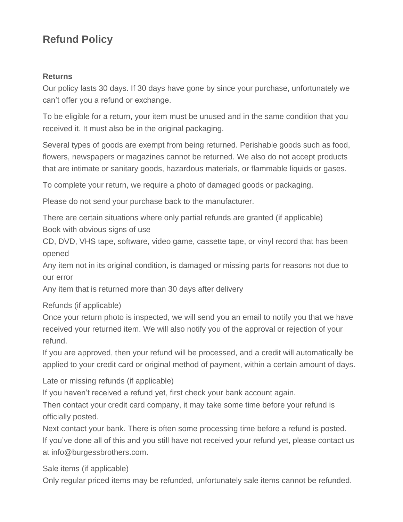# **Refund Policy**

#### **Returns**

Our policy lasts 30 days. If 30 days have gone by since your purchase, unfortunately we can't offer you a refund or exchange.

To be eligible for a return, your item must be unused and in the same condition that you received it. It must also be in the original packaging.

Several types of goods are exempt from being returned. Perishable goods such as food, flowers, newspapers or magazines cannot be returned. We also do not accept products that are intimate or sanitary goods, hazardous materials, or flammable liquids or gases.

To complete your return, we require a photo of damaged goods or packaging.

Please do not send your purchase back to the manufacturer.

There are certain situations where only partial refunds are granted (if applicable) Book with obvious signs of use

CD, DVD, VHS tape, software, video game, cassette tape, or vinyl record that has been opened

Any item not in its original condition, is damaged or missing parts for reasons not due to our error

Any item that is returned more than 30 days after delivery

Refunds (if applicable)

Once your return photo is inspected, we will send you an email to notify you that we have received your returned item. We will also notify you of the approval or rejection of your refund.

If you are approved, then your refund will be processed, and a credit will automatically be applied to your credit card or original method of payment, within a certain amount of days.

Late or missing refunds (if applicable)

If you haven't received a refund yet, first check your bank account again.

Then contact your credit card company, it may take some time before your refund is officially posted.

Next contact your bank. There is often some processing time before a refund is posted.

If you've done all of this and you still have not received your refund yet, please contact us at info@burgessbrothers.com.

Sale items (if applicable)

Only regular priced items may be refunded, unfortunately sale items cannot be refunded.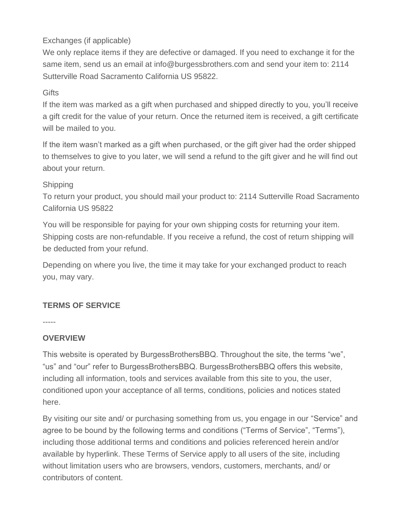# Exchanges (if applicable)

We only replace items if they are defective or damaged. If you need to exchange it for the same item, send us an email at info@burgessbrothers.com and send your item to: 2114 Sutterville Road Sacramento California US 95822.

## Gifts

If the item was marked as a gift when purchased and shipped directly to you, you'll receive a gift credit for the value of your return. Once the returned item is received, a gift certificate will be mailed to you.

If the item wasn't marked as a gift when purchased, or the gift giver had the order shipped to themselves to give to you later, we will send a refund to the gift giver and he will find out about your return.

#### Shipping

To return your product, you should mail your product to: 2114 Sutterville Road Sacramento California US 95822

You will be responsible for paying for your own shipping costs for returning your item. Shipping costs are non-refundable. If you receive a refund, the cost of return shipping will be deducted from your refund.

Depending on where you live, the time it may take for your exchanged product to reach you, may vary.

# **TERMS OF SERVICE**

-----

# **OVERVIEW**

This website is operated by BurgessBrothersBBQ. Throughout the site, the terms "we", "us" and "our" refer to BurgessBrothersBBQ. BurgessBrothersBBQ offers this website, including all information, tools and services available from this site to you, the user, conditioned upon your acceptance of all terms, conditions, policies and notices stated here.

By visiting our site and/ or purchasing something from us, you engage in our "Service" and agree to be bound by the following terms and conditions ("Terms of Service", "Terms"), including those additional terms and conditions and policies referenced herein and/or available by hyperlink. These Terms of Service apply to all users of the site, including without limitation users who are browsers, vendors, customers, merchants, and/ or contributors of content.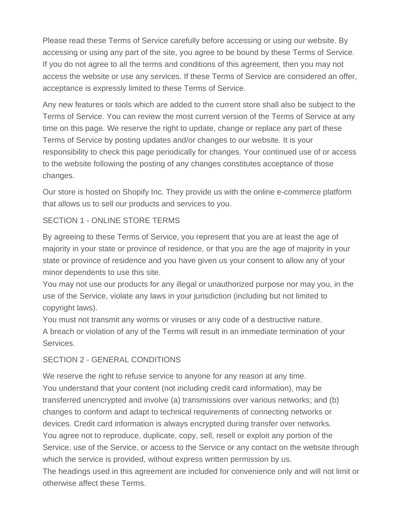Please read these Terms of Service carefully before accessing or using our website. By accessing or using any part of the site, you agree to be bound by these Terms of Service. If you do not agree to all the terms and conditions of this agreement, then you may not access the website or use any services. If these Terms of Service are considered an offer, acceptance is expressly limited to these Terms of Service.

Any new features or tools which are added to the current store shall also be subject to the Terms of Service. You can review the most current version of the Terms of Service at any time on this page. We reserve the right to update, change or replace any part of these Terms of Service by posting updates and/or changes to our website. It is your responsibility to check this page periodically for changes. Your continued use of or access to the website following the posting of any changes constitutes acceptance of those changes.

Our store is hosted on Shopify Inc. They provide us with the online e-commerce platform that allows us to sell our products and services to you.

#### SECTION 1 - ONLINE STORE TERMS

By agreeing to these Terms of Service, you represent that you are at least the age of majority in your state or province of residence, or that you are the age of majority in your state or province of residence and you have given us your consent to allow any of your minor dependents to use this site.

You may not use our products for any illegal or unauthorized purpose nor may you, in the use of the Service, violate any laws in your jurisdiction (including but not limited to copyright laws).

You must not transmit any worms or viruses or any code of a destructive nature. A breach or violation of any of the Terms will result in an immediate termination of your Services.

# SECTION 2 - GENERAL CONDITIONS

We reserve the right to refuse service to anyone for any reason at any time. You understand that your content (not including credit card information), may be transferred unencrypted and involve (a) transmissions over various networks; and (b) changes to conform and adapt to technical requirements of connecting networks or devices. Credit card information is always encrypted during transfer over networks. You agree not to reproduce, duplicate, copy, sell, resell or exploit any portion of the Service, use of the Service, or access to the Service or any contact on the website through which the service is provided, without express written permission by us.

The headings used in this agreement are included for convenience only and will not limit or otherwise affect these Terms.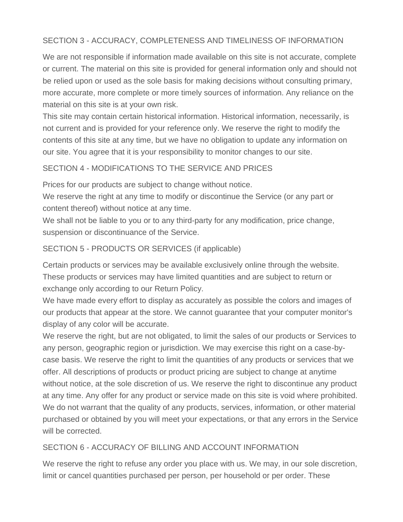# SECTION 3 - ACCURACY, COMPLETENESS AND TIMELINESS OF INFORMATION

We are not responsible if information made available on this site is not accurate, complete or current. The material on this site is provided for general information only and should not be relied upon or used as the sole basis for making decisions without consulting primary, more accurate, more complete or more timely sources of information. Any reliance on the material on this site is at your own risk.

This site may contain certain historical information. Historical information, necessarily, is not current and is provided for your reference only. We reserve the right to modify the contents of this site at any time, but we have no obligation to update any information on our site. You agree that it is your responsibility to monitor changes to our site.

#### SECTION 4 - MODIFICATIONS TO THE SERVICE AND PRICES

Prices for our products are subject to change without notice.

We reserve the right at any time to modify or discontinue the Service (or any part or content thereof) without notice at any time.

We shall not be liable to you or to any third-party for any modification, price change, suspension or discontinuance of the Service.

SECTION 5 - PRODUCTS OR SERVICES (if applicable)

Certain products or services may be available exclusively online through the website. These products or services may have limited quantities and are subject to return or exchange only according to our Return Policy.

We have made every effort to display as accurately as possible the colors and images of our products that appear at the store. We cannot guarantee that your computer monitor's display of any color will be accurate.

We reserve the right, but are not obligated, to limit the sales of our products or Services to any person, geographic region or jurisdiction. We may exercise this right on a case-bycase basis. We reserve the right to limit the quantities of any products or services that we offer. All descriptions of products or product pricing are subject to change at anytime without notice, at the sole discretion of us. We reserve the right to discontinue any product at any time. Any offer for any product or service made on this site is void where prohibited. We do not warrant that the quality of any products, services, information, or other material purchased or obtained by you will meet your expectations, or that any errors in the Service will be corrected.

# SECTION 6 - ACCURACY OF BILLING AND ACCOUNT INFORMATION

We reserve the right to refuse any order you place with us. We may, in our sole discretion, limit or cancel quantities purchased per person, per household or per order. These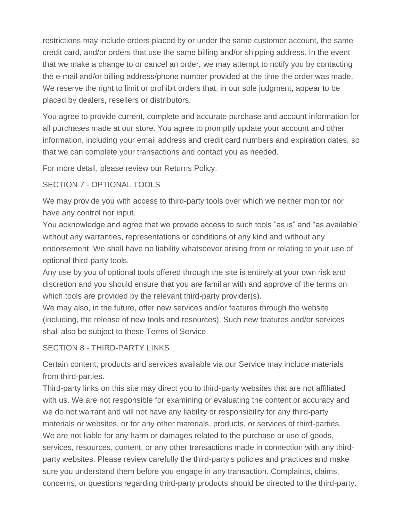restrictions may include orders placed by or under the same customer account, the same credit card, and/or orders that use the same billing and/or shipping address. In the event that we make a change to or cancel an order, we may attempt to notify you by contacting the e-mail and/or billing address/phone number provided at the time the order was made. We reserve the right to limit or prohibit orders that, in our sole judgment, appear to be placed by dealers, resellers or distributors.

You agree to provide current, complete and accurate purchase and account information for all purchases made at our store. You agree to promptly update your account and other information, including your email address and credit card numbers and expiration dates, so that we can complete your transactions and contact you as needed.

For more detail, please review our Returns Policy.

#### SECTION 7 - OPTIONAL TOOLS

We may provide you with access to third-party tools over which we neither monitor nor have any control nor input.

You acknowledge and agree that we provide access to such tools "as is" and "as available" without any warranties, representations or conditions of any kind and without any endorsement. We shall have no liability whatsoever arising from or relating to your use of optional third-party tools.

Any use by you of optional tools offered through the site is entirely at your own risk and discretion and you should ensure that you are familiar with and approve of the terms on which tools are provided by the relevant third-party provider(s).

We may also, in the future, offer new services and/or features through the website (including, the release of new tools and resources). Such new features and/or services shall also be subject to these Terms of Service.

#### SECTION 8 - THIRD-PARTY LINKS

Certain content, products and services available via our Service may include materials from third-parties.

Third-party links on this site may direct you to third-party websites that are not affiliated with us. We are not responsible for examining or evaluating the content or accuracy and we do not warrant and will not have any liability or responsibility for any third-party materials or websites, or for any other materials, products, or services of third-parties. We are not liable for any harm or damages related to the purchase or use of goods, services, resources, content, or any other transactions made in connection with any thirdparty websites. Please review carefully the third-party's policies and practices and make sure you understand them before you engage in any transaction. Complaints, claims, concerns, or questions regarding third-party products should be directed to the third-party.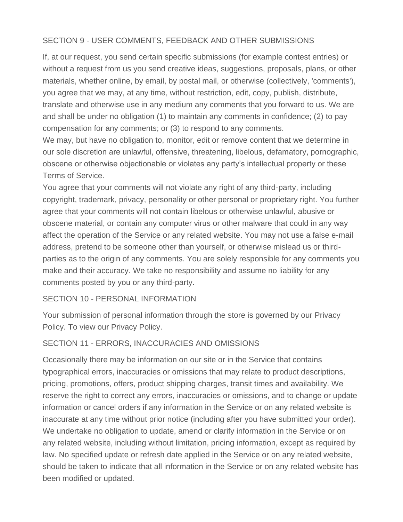#### SECTION 9 - USER COMMENTS, FEEDBACK AND OTHER SUBMISSIONS

If, at our request, you send certain specific submissions (for example contest entries) or without a request from us you send creative ideas, suggestions, proposals, plans, or other materials, whether online, by email, by postal mail, or otherwise (collectively, 'comments'), you agree that we may, at any time, without restriction, edit, copy, publish, distribute, translate and otherwise use in any medium any comments that you forward to us. We are and shall be under no obligation (1) to maintain any comments in confidence; (2) to pay compensation for any comments; or (3) to respond to any comments.

We may, but have no obligation to, monitor, edit or remove content that we determine in our sole discretion are unlawful, offensive, threatening, libelous, defamatory, pornographic, obscene or otherwise objectionable or violates any party's intellectual property or these Terms of Service.

You agree that your comments will not violate any right of any third-party, including copyright, trademark, privacy, personality or other personal or proprietary right. You further agree that your comments will not contain libelous or otherwise unlawful, abusive or obscene material, or contain any computer virus or other malware that could in any way affect the operation of the Service or any related website. You may not use a false e-mail address, pretend to be someone other than yourself, or otherwise mislead us or thirdparties as to the origin of any comments. You are solely responsible for any comments you make and their accuracy. We take no responsibility and assume no liability for any comments posted by you or any third-party.

#### SECTION 10 - PERSONAL INFORMATION

Your submission of personal information through the store is governed by our Privacy Policy. To view our Privacy Policy.

#### SECTION 11 - ERRORS, INACCURACIES AND OMISSIONS

Occasionally there may be information on our site or in the Service that contains typographical errors, inaccuracies or omissions that may relate to product descriptions, pricing, promotions, offers, product shipping charges, transit times and availability. We reserve the right to correct any errors, inaccuracies or omissions, and to change or update information or cancel orders if any information in the Service or on any related website is inaccurate at any time without prior notice (including after you have submitted your order). We undertake no obligation to update, amend or clarify information in the Service or on any related website, including without limitation, pricing information, except as required by law. No specified update or refresh date applied in the Service or on any related website, should be taken to indicate that all information in the Service or on any related website has been modified or updated.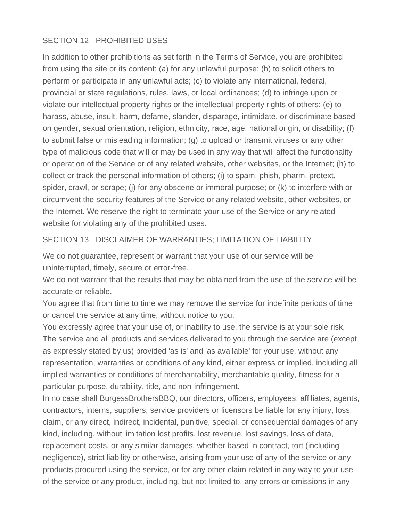# SECTION 12 - PROHIBITED USES

In addition to other prohibitions as set forth in the Terms of Service, you are prohibited from using the site or its content: (a) for any unlawful purpose; (b) to solicit others to perform or participate in any unlawful acts; (c) to violate any international, federal, provincial or state regulations, rules, laws, or local ordinances; (d) to infringe upon or violate our intellectual property rights or the intellectual property rights of others; (e) to harass, abuse, insult, harm, defame, slander, disparage, intimidate, or discriminate based on gender, sexual orientation, religion, ethnicity, race, age, national origin, or disability; (f) to submit false or misleading information; (g) to upload or transmit viruses or any other type of malicious code that will or may be used in any way that will affect the functionality or operation of the Service or of any related website, other websites, or the Internet; (h) to collect or track the personal information of others; (i) to spam, phish, pharm, pretext, spider, crawl, or scrape; (j) for any obscene or immoral purpose; or (k) to interfere with or circumvent the security features of the Service or any related website, other websites, or the Internet. We reserve the right to terminate your use of the Service or any related website for violating any of the prohibited uses.

#### SECTION 13 - DISCLAIMER OF WARRANTIES; LIMITATION OF LIABILITY

We do not guarantee, represent or warrant that your use of our service will be uninterrupted, timely, secure or error-free.

We do not warrant that the results that may be obtained from the use of the service will be accurate or reliable.

You agree that from time to time we may remove the service for indefinite periods of time or cancel the service at any time, without notice to you.

You expressly agree that your use of, or inability to use, the service is at your sole risk. The service and all products and services delivered to you through the service are (except as expressly stated by us) provided 'as is' and 'as available' for your use, without any representation, warranties or conditions of any kind, either express or implied, including all implied warranties or conditions of merchantability, merchantable quality, fitness for a particular purpose, durability, title, and non-infringement.

In no case shall BurgessBrothersBBQ, our directors, officers, employees, affiliates, agents, contractors, interns, suppliers, service providers or licensors be liable for any injury, loss, claim, or any direct, indirect, incidental, punitive, special, or consequential damages of any kind, including, without limitation lost profits, lost revenue, lost savings, loss of data, replacement costs, or any similar damages, whether based in contract, tort (including negligence), strict liability or otherwise, arising from your use of any of the service or any products procured using the service, or for any other claim related in any way to your use of the service or any product, including, but not limited to, any errors or omissions in any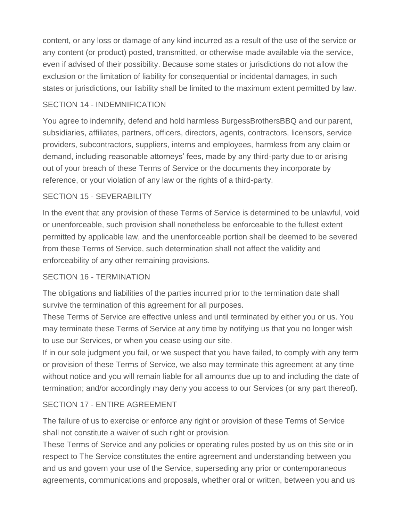content, or any loss or damage of any kind incurred as a result of the use of the service or any content (or product) posted, transmitted, or otherwise made available via the service, even if advised of their possibility. Because some states or jurisdictions do not allow the exclusion or the limitation of liability for consequential or incidental damages, in such states or jurisdictions, our liability shall be limited to the maximum extent permitted by law.

#### SECTION 14 - INDEMNIFICATION

You agree to indemnify, defend and hold harmless BurgessBrothersBBQ and our parent, subsidiaries, affiliates, partners, officers, directors, agents, contractors, licensors, service providers, subcontractors, suppliers, interns and employees, harmless from any claim or demand, including reasonable attorneys' fees, made by any third-party due to or arising out of your breach of these Terms of Service or the documents they incorporate by reference, or your violation of any law or the rights of a third-party.

#### SECTION 15 - SEVERABILITY

In the event that any provision of these Terms of Service is determined to be unlawful, void or unenforceable, such provision shall nonetheless be enforceable to the fullest extent permitted by applicable law, and the unenforceable portion shall be deemed to be severed from these Terms of Service, such determination shall not affect the validity and enforceability of any other remaining provisions.

# SECTION 16 - TERMINATION

The obligations and liabilities of the parties incurred prior to the termination date shall survive the termination of this agreement for all purposes.

These Terms of Service are effective unless and until terminated by either you or us. You may terminate these Terms of Service at any time by notifying us that you no longer wish to use our Services, or when you cease using our site.

If in our sole judgment you fail, or we suspect that you have failed, to comply with any term or provision of these Terms of Service, we also may terminate this agreement at any time without notice and you will remain liable for all amounts due up to and including the date of termination; and/or accordingly may deny you access to our Services (or any part thereof).

#### SECTION 17 - ENTIRE AGREEMENT

The failure of us to exercise or enforce any right or provision of these Terms of Service shall not constitute a waiver of such right or provision.

These Terms of Service and any policies or operating rules posted by us on this site or in respect to The Service constitutes the entire agreement and understanding between you and us and govern your use of the Service, superseding any prior or contemporaneous agreements, communications and proposals, whether oral or written, between you and us